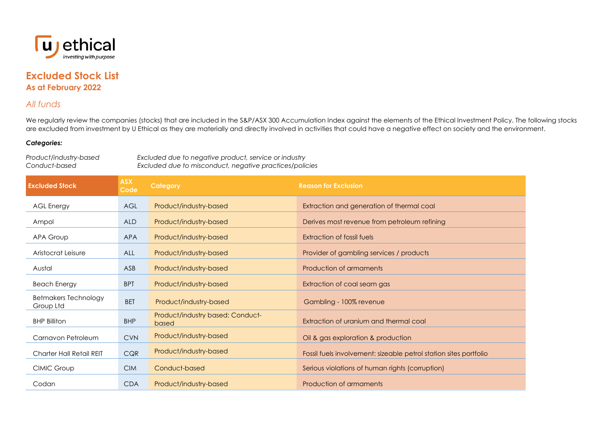

## **Excluded Stock List As at February 2022**

## *All funds*

We regularly review the companies (stocks) that are included in the S&P/ASX 300 Accumulation Index against the elements of the Ethical Investment Policy. The following stocks are excluded from investment by U Ethical as they are materially and directly involved in activities that could have a negative effect on society and the environment.

## *Categories:*

*Product/industry-based Excluded due to negative product, service or industry Conduct-based Excluded due to misconduct, negative practices/policies*

| <b>Excluded Stock</b>                    | <b>ASX</b><br>Code | <b>Category</b>                           | <b>Reason for Exclusion</b>                                       |
|------------------------------------------|--------------------|-------------------------------------------|-------------------------------------------------------------------|
| <b>AGL Energy</b>                        | AGL                | Product/industry-based                    | Extraction and generation of thermal coal                         |
| Ampol                                    | <b>ALD</b>         | Product/industry-based                    | Derives most revenue from petroleum refining                      |
| APA Group                                | <b>APA</b>         | Product/industry-based                    | Extraction of fossil fuels                                        |
| Aristocrat Leisure                       | ALL                | Product/industry-based                    | Provider of gambling services / products                          |
| Austal                                   | ASB                | Product/industry-based                    | Production of armaments                                           |
| <b>Beach Energy</b>                      | <b>BPT</b>         | Product/industry-based                    | Extraction of coal seam gas                                       |
| <b>Betmakers Technology</b><br>Group Ltd | <b>BET</b>         | Product/industry-based                    | Gambling - 100% revenue                                           |
| <b>BHP Billiton</b>                      | <b>BHP</b>         | Product/industry based; Conduct-<br>based | Extraction of uranium and thermal coal                            |
| Carnavon Petroleum                       | <b>CVN</b>         | Product/industry-based                    | Oil & gas exploration & production                                |
| Charter Hall Retail REIT                 | CQR                | Product/industry-based                    | Fossil fuels involvement: sizeable petrol station sites portfolio |
| CIMIC Group                              | <b>CIM</b>         | Conduct-based                             | Serious violations of human rights (corruption)                   |
| Codan                                    | <b>CDA</b>         | Product/industry-based                    | Production of armaments                                           |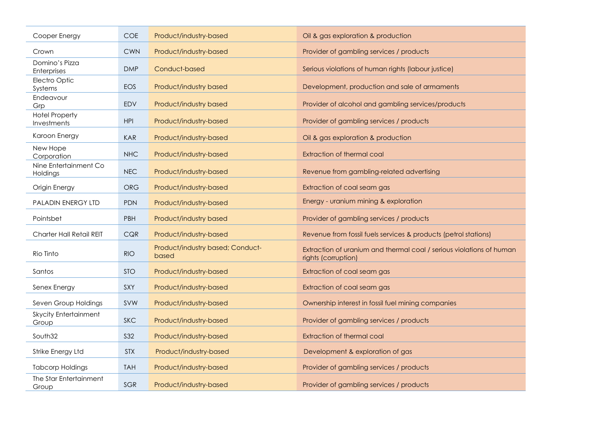| Cooper Energy                         | <b>COE</b> | Product/industry-based                    | Oil & gas exploration & production                                                          |
|---------------------------------------|------------|-------------------------------------------|---------------------------------------------------------------------------------------------|
| Crown                                 | <b>CWN</b> | Product/industry-based                    | Provider of gambling services / products                                                    |
| Domino's Pizza<br>Enterprises         | <b>DMP</b> | Conduct-based                             | Serious violations of human rights (labour justice)                                         |
| Electro Optic<br>Systems              | <b>EOS</b> | Product/industry based                    | Development, production and sale of armaments                                               |
| Endeavour<br>Grp                      | <b>EDV</b> | Product/industry based                    | Provider of alcohol and gambling services/products                                          |
| <b>Hotel Property</b><br>Investments  | <b>HPI</b> | Product/industry-based                    | Provider of gambling services / products                                                    |
| Karoon Energy                         | <b>KAR</b> | Product/industry-based                    | Oil & gas exploration & production                                                          |
| New Hope<br>Corporation               | <b>NHC</b> | Product/industry-based                    | <b>Extraction of thermal coal</b>                                                           |
| Nine Entertainment Co<br>Holdings     | <b>NEC</b> | Product/industry-based                    | Revenue from gambling-related advertising                                                   |
| Origin Energy                         | <b>ORG</b> | Product/industry-based                    | Extraction of coal seam gas                                                                 |
| <b>PALADIN ENERGY LTD</b>             | <b>PDN</b> | Product/industry-based                    | Energy - uranium mining & exploration                                                       |
| Pointsbet                             | <b>PBH</b> | Product/industry based                    | Provider of gambling services / products                                                    |
| Charter Hall Retail REIT              | CQR        | Product/industry-based                    | Revenue from fossil fuels services & products (petrol stations)                             |
| Rio Tinto                             | <b>RIO</b> | Product/industry based; Conduct-<br>based | Extraction of uranium and thermal coal / serious violations of human<br>rights (corruption) |
| Santos                                | <b>STO</b> | Product/industry-based                    | Extraction of coal seam gas                                                                 |
| Senex Energy                          | SXY        | Product/industry-based                    | Extraction of coal seam gas                                                                 |
| Seven Group Holdings                  | SVW        | Product/industry-based                    | Ownership interest in fossil fuel mining companies                                          |
| <b>Skycity Entertainment</b><br>Group | <b>SKC</b> | Product/industry-based                    | Provider of gambling services / products                                                    |
| South32                               | <b>S32</b> | Product/industry-based                    | <b>Extraction of thermal coal</b>                                                           |
| Strike Energy Ltd                     | <b>STX</b> | Product/industry-based                    | Development & exploration of gas                                                            |
| <b>Tabcorp Holdings</b>               | <b>TAH</b> | Product/industry-based                    | Provider of gambling services / products                                                    |
| The Star Entertainment<br>Group       | SGR        | Product/industry-based                    | Provider of gambling services / products                                                    |